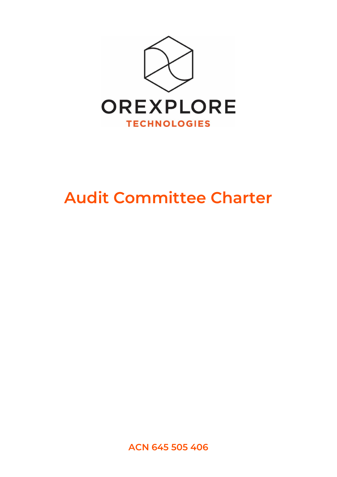

# **Audit Committee Charter**

**ACN 645 505 406**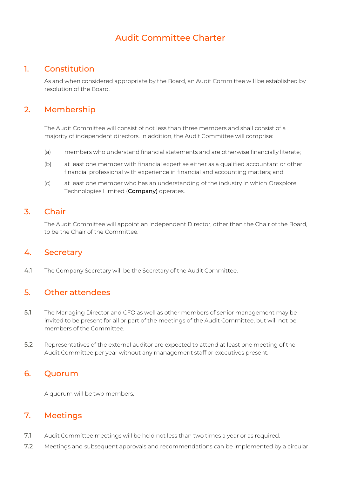# Audit Committee Charter

#### 1. Constitution

As and when considered appropriate by the Board, an Audit Committee will be established by resolution of the Board.

## 2. Membership

The Audit Committee will consist of not less than three members and shall consist of a majority of independent directors. In addition, the Audit Committee will comprise:

- (a) members who understand financial statements and are otherwise financially literate;
- (b) at least one member with financial expertise either as a qualified accountant or other financial professional with experience in financial and accounting matters; and
- (c) at least one member who has an understanding of the industry in which Orexplore Technologies Limited (Company) operates.

## 3. Chair

The Audit Committee will appoint an independent Director, other than the Chair of the Board, to be the Chair of the Committee.

#### 4. Secretary

4.1 The Company Secretary will be the Secretary of the Audit Committee.

## 5. Other attendees

- 5.1 The Managing Director and CFO as well as other members of senior management may be invited to be present for all or part of the meetings of the Audit Committee, but will not be members of the Committee.
- 5.2 Representatives of the external auditor are expected to attend at least one meeting of the Audit Committee per year without any management staff or executives present.

## 6. Quorum

A quorum will be two members.

## 7. Meetings

- 7.1 Audit Committee meetings will be held not less than two times a year or as required.
- 7.2 Meetings and subsequent approvals and recommendations can be implemented by a circular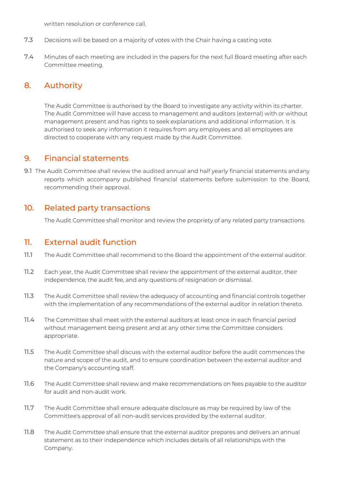written resolution or conference call.

- 7.3 Decisions will be based on a majority of votes with the Chair having a casting vote.
- 7.4 Minutes of each meeting are included in the papers for the next full Board meeting after each Committee meeting.

## 8. Authority

The Audit Committee is authorised by the Board to investigate any activity within its charter. The Audit Committee will have access to management and auditors (external) with or without management present and has rights to seek explanations and additional information. It is authorised to seek any information it requires from any employees and all employees are directed to cooperate with any request made by the Audit Committee.

#### 9. Financial statements

9.1 The Audit Committee shall review the audited annual and half yearly financial statements and any reports which accompany published financial statements before submission to the Board, recommending their approval.

## 10. Related party transactions

The Audit Committee shall monitor and review the propriety of any related party transactions.

#### 11. External audit function

- 11.1 The Audit Committee shall recommend to the Board the appointment of the external auditor.
- 11.2 Each year, the Audit Committee shall review the appointment of the external auditor, their independence, the audit fee, and any questions of resignation or dismissal.
- 11.3 The Audit Committee shall review the adequacy of accounting and financial controls together with the implementation of any recommendations of the external auditor in relation thereto.
- 11.4 The Committee shall meet with the external auditors at least once in each financial period without management being present and at any other time the Committee considers appropriate.
- 11.5 The Audit Committee shall discuss with the external auditor before the audit commences the nature and scope of the audit, and to ensure coordination between the external auditor and the Company's accounting staff.
- 11.6 The Audit Committee shall review and make recommendations on fees payable to the auditor for audit and non-audit work.
- 11.7 The Audit Committee shall ensure adequate disclosure as may be required by law of the Committee's approval of all non-audit services provided by the external auditor.
- 11.8 The Audit Committee shall ensure that the external auditor prepares and delivers an annual statement as to their independence which includes details of all relationships with the Company.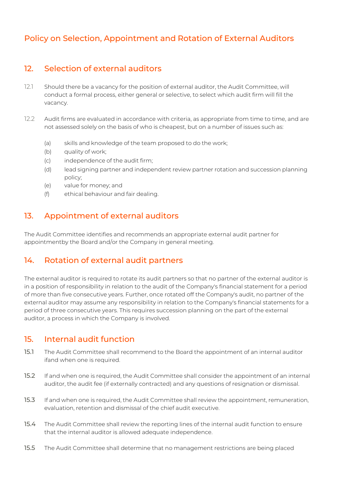# Policy on Selection, Appointment and Rotation of External Auditors

## 12. Selection of external auditors

- 12.1 Should there be a vacancy for the position of external auditor, the Audit Committee, will conduct a formal process, either general or selective, to select which audit firm will fill the vacancy.
- 12.2 Audit firms are evaluated in accordance with criteria, as appropriate from time to time, and are not assessed solely on the basis of who is cheapest, but on a number of issues such as:
	- (a) skills and knowledge of the team proposed to do the work;
	- (b) quality of work;
	- (c) independence of the audit firm;
	- (d) lead signing partner and independent review partner rotation and succession planning policy;
	- (e) value for money; and
	- (f) ethical behaviour and fair dealing.

## 13. Appointment of external auditors

The Audit Committee identifies and recommends an appropriate external audit partner for appointmentby the Board and/or the Company in general meeting.

#### 14. Rotation of external audit partners

The external auditor is required to rotate its audit partners so that no partner of the external auditor is in a position of responsibility in relation to the audit of the Company's financial statement for a period of more than five consecutive years. Further, once rotated off the Company's audit, no partner of the external auditor may assume any responsibility in relation to the Company's financial statements for a period of three consecutive years. This requires succession planning on the part of the external auditor, a process in which the Company is involved.

## 15. Internal audit function

- 15.1 The Audit Committee shall recommend to the Board the appointment of an internal auditor ifand when one is required.
- 15.2 If and when one is required, the Audit Committee shall consider the appointment of an internal auditor, the audit fee (if externally contracted) and any questions of resignation or dismissal.
- 15.3 If and when one is required, the Audit Committee shall review the appointment, remuneration, evaluation, retention and dismissal of the chief audit executive.
- 15.4 The Audit Committee shall review the reporting lines of the internal audit function to ensure that the internal auditor is allowed adequate independence.
- 15.5 The Audit Committee shall determine that no management restrictions are being placed